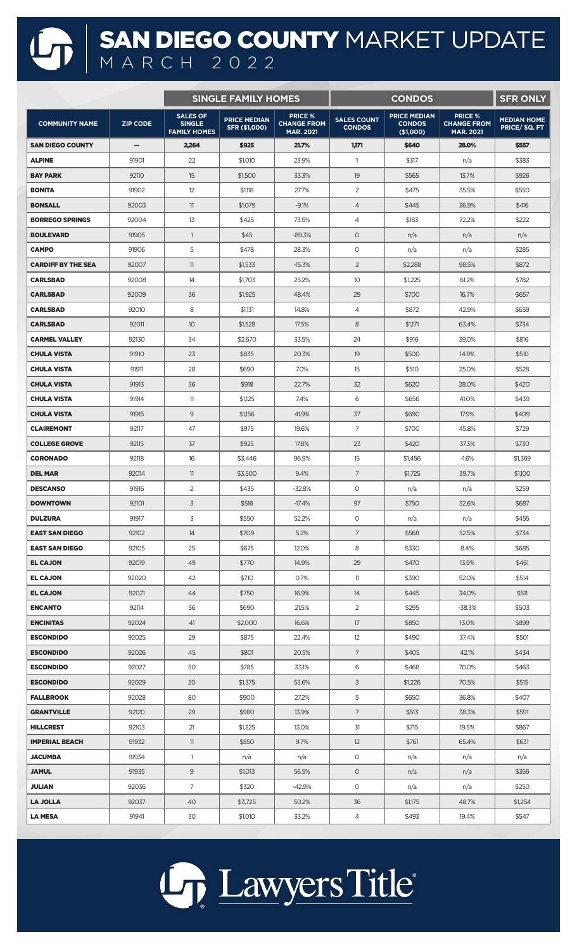## SAN DIEGO COUNTY MARKET UPDATE MARCH 2022

|                           |                 | <b>SINGLE FAMILY HOMES</b>                              |                                      |                                                          |                                     | <b>SFR ONLY</b>                                   |                                                          |                                    |
|---------------------------|-----------------|---------------------------------------------------------|--------------------------------------|----------------------------------------------------------|-------------------------------------|---------------------------------------------------|----------------------------------------------------------|------------------------------------|
| <b>COMMUNITY NAME</b>     | <b>ZIP CODE</b> | <b>SALES OF</b><br><b>SINGLE</b><br><b>FAMILY HOMES</b> | <b>PRICE MEDIAN</b><br>SFR (\$1,000) | <b>PRICE %</b><br><b>CHANGE FROM</b><br><b>MAR. 2021</b> | <b>SALES COUNT</b><br><b>CONDOS</b> | <b>PRICE MEDIAN</b><br><b>CONDOS</b><br>(\$1,000) | <b>PRICE %</b><br><b>CHANGE FROM</b><br><b>MAR. 2021</b> | <b>MEDIAN HOME</b><br>PRICE/SQ. FT |
| <b>SAN DIEGO COUNTY</b>   | -               | 2,264                                                   | \$925                                | 21.7%                                                    | 1,171                               | \$640                                             | 28,0%                                                    | \$557                              |
| <b>ALPINE</b>             | 91901           | 22                                                      | \$1,010                              | 23.9%                                                    | $\overline{1}$                      | \$317                                             | n/a                                                      | \$383                              |
| <b>BAY PARK</b>           | 92110           | 15                                                      | \$1,500                              | 33.3%                                                    | 19                                  | \$565                                             | 13.7%                                                    | \$926                              |
| <b>BONITA</b>             | 91902           | 12                                                      | \$1,118                              | 27.7%                                                    | 2                                   | \$475                                             | 35.5%                                                    | \$550                              |
| <b>BONSALL</b>            | 92003           | 11                                                      | \$1,079                              | $-9.1%$                                                  | $\overline{4}$                      | \$445                                             | 36.9%                                                    | \$416                              |
| <b>BORREGO SPRINGS</b>    | 92004           | 13                                                      | \$425                                | 73.5%                                                    | 4                                   | \$183                                             | 72.2%                                                    | \$222                              |
| <b>BOULEVARD</b>          | 91905           | $\overline{1}$                                          | \$45                                 | $-89.3%$                                                 | $\circ$                             | n/a                                               | n/a                                                      | n/a                                |
| <b>CAMPO</b>              | 91906           | 5                                                       | \$478                                | 28.3%                                                    | $\circ$                             | n/a                                               | n/a                                                      | \$285                              |
| <b>CARDIFF BY THE SEA</b> | 92007           | 11                                                      | \$1,533                              | $-15.3%$                                                 | $\overline{2}$                      | \$2,288                                           | 98.5%                                                    | \$872                              |
| <b>CARLSBAD</b>           | 92008           | 14                                                      | \$1,703                              | 25.2%                                                    | 10                                  | \$1,225                                           | 61.2%                                                    | \$782                              |
| <b>CARLSBAD</b>           | 92009           | 36                                                      | \$1,925                              | 48.4%                                                    | 29                                  | \$700                                             | 16.7%                                                    | \$657                              |
| <b>CARLSBAD</b>           | 92010           | 8                                                       | \$1,131                              | 14.8%                                                    | $\overline{4}$                      | \$872                                             | 42.9%                                                    | \$659                              |
| <b>CARLSBAD</b>           | 92011           | 10                                                      | \$1,528                              | 17.5%                                                    | 8                                   | \$1,171                                           | 63.4%                                                    | \$734                              |
| <b>CARMEL VALLEY</b>      | 92130           | 34                                                      | \$2,670                              | 33.5%                                                    | 24                                  | \$916                                             | 39.0%                                                    | \$816                              |
| <b>CHULA VISTA</b>        | 91910           | 23                                                      | \$835                                | 20.3%                                                    | 19                                  | \$500                                             | 14.9%                                                    | \$510                              |
| <b>CHULA VISTA</b>        | 91911           | 28                                                      | \$690                                | 7.0%                                                     | 15                                  | \$510                                             | 25.0%                                                    | \$528                              |
| <b>CHULA VISTA</b>        | 91913           | 36                                                      | \$918                                | 22.7%                                                    | 32                                  | \$620                                             | 28.0%                                                    | \$420                              |
| <b>CHULA VISTA</b>        | 91914           | 11                                                      | \$1,125                              | 7.4%                                                     | 6                                   | \$656                                             | 41.0%                                                    | \$439                              |
| <b>CHULA VISTA</b>        | 91915           | 9                                                       | \$1,156                              | 41.9%                                                    | 37                                  | \$690                                             | 17.9%                                                    | \$409                              |
| <b>CLAIREMONT</b>         | 92117           | 47                                                      | \$975                                | 19.6%                                                    | $\overline{7}$                      | \$700                                             | 45.8%                                                    | \$729                              |
| <b>COLLEGE GROVE</b>      | 92115           | 37                                                      | \$925                                | 17.8%                                                    | 23                                  | \$420                                             | 37.3%                                                    | \$730                              |
| <b>CORONADO</b>           | 92118           | 16                                                      | \$3,446                              | 96.9%                                                    | 15                                  | \$1,456                                           | $-1.6%$                                                  | \$1,369                            |
| <b>DEL MAR</b>            | 92014           | 11                                                      | \$3,500                              | 9.4%                                                     | $\overline{7}$                      | \$1,725                                           | 39.7%                                                    | \$1,100                            |
| <b>DESCANSO</b>           | 91916           | $\overline{2}$                                          | \$435                                | $-32.8%$                                                 | 0                                   | n/a                                               | n/a                                                      | \$259                              |
| <b>DOWNTOWN</b>           | 92101           | 3                                                       | \$516                                | $-17.4%$                                                 | 97                                  | \$750                                             | 32.6%                                                    | \$687                              |
| <b>DULZURA</b>            | 91917           | 3                                                       | \$550                                | 52.2%                                                    | $\circ$                             | n/a                                               | n/a                                                      | \$455                              |
| <b>EAST SAN DIEGO</b>     | 92102           | 14                                                      | \$709                                | 5.2%                                                     | $7\overline{ }$                     | \$568                                             | 52.5%                                                    | \$734                              |
| <b>EAST SAN DIEGO</b>     | 92105           | 25                                                      | \$675                                | 12.0%                                                    | 8                                   | \$330                                             | 8.4%                                                     | \$685                              |
| <b>EL CAJON</b>           | 92019           | 49                                                      | \$770                                | 14.9%                                                    | 29                                  | \$470                                             | 13.9%                                                    | \$461                              |
| <b>EL CAJON</b>           | 92020           | 42                                                      | \$710                                | 0.7%                                                     | 11                                  | \$390                                             | 52.0%                                                    | \$514                              |
| <b>EL CAJON</b>           | 92021           | 44                                                      | \$750                                | 16.9%                                                    | 14                                  | \$445                                             | 34.0%                                                    | \$511                              |
| <b>ENCANTO</b>            | 92114           | 56                                                      | \$690                                | 21.5%                                                    | $\overline{2}$                      | \$295                                             | $-38.3%$                                                 | \$503                              |
| <b>ENCINITAS</b>          | 92024           | 41                                                      | \$2,000                              | 16.6%                                                    | 17                                  | \$850                                             | 13.0%                                                    | \$899                              |
| <b>ESCONDIDO</b>          | 92025           | 29                                                      | \$875                                | 22.4%                                                    | 12                                  | \$490                                             | 37.4%                                                    | \$501                              |
| <b>ESCONDIDO</b>          | 92026           | 45                                                      | \$801                                | 20.5%                                                    | $7\overline{ }$                     | \$405                                             | 42.1%                                                    | \$434                              |
| <b>ESCONDIDO</b>          | 92027           | 50                                                      | \$785                                | 33.1%                                                    | 6                                   | \$468                                             | 70.0%                                                    | \$463                              |
| <b>ESCONDIDO</b>          | 92029           | 20                                                      | \$1,375                              | 53.6%                                                    | $\overline{3}$                      | \$1,226                                           | 70.5%                                                    | \$515                              |
| <b>FALLBROOK</b>          | 92028           | 80                                                      | \$900                                | 27.2%                                                    | 5                                   | \$650                                             | 36.8%                                                    | \$407                              |
| <b>GRANTVILLE</b>         | 92120           | 29                                                      | \$980                                | 13.9%                                                    | $7\overline{ }$                     | \$513                                             | 38.3%                                                    | \$591                              |
| <b>HILLCREST</b>          | 92103           | 21                                                      | \$1,325                              | 13.0%                                                    | 31                                  | \$715                                             | 19.5%                                                    | \$867                              |
| <b>IMPERIAL BEACH</b>     | 91932           | 11                                                      | \$850                                | 9.7%                                                     | 12                                  | \$761                                             | 65.4%                                                    | \$631                              |
| <b>JACUMBA</b>            | 91934           | $\mathbf{1}$                                            | n/a                                  | n/a                                                      | O                                   | n/a                                               | n/a                                                      | n/a                                |
| <b>JAMUL</b>              | 91935           | 9                                                       | \$1,013                              | 56.5%                                                    | $\circ$                             | n/a                                               | n/a                                                      | \$356                              |
| JULIAN                    | 92036           | $\overline{7}$                                          | \$320                                | -42.9%                                                   | 0                                   | n/a                                               | n/a                                                      | \$250                              |
| <b>LA JOLLA</b>           | 92037           | 40                                                      | \$3,725                              | 50.2%                                                    | 36                                  | \$1,175                                           | 48.7%                                                    | \$1,254                            |
| LA MESA                   | 91941           | 30                                                      | \$1,010                              | 33.2%                                                    | $\overline{4}$                      | \$493                                             | 19.4%                                                    | \$547                              |